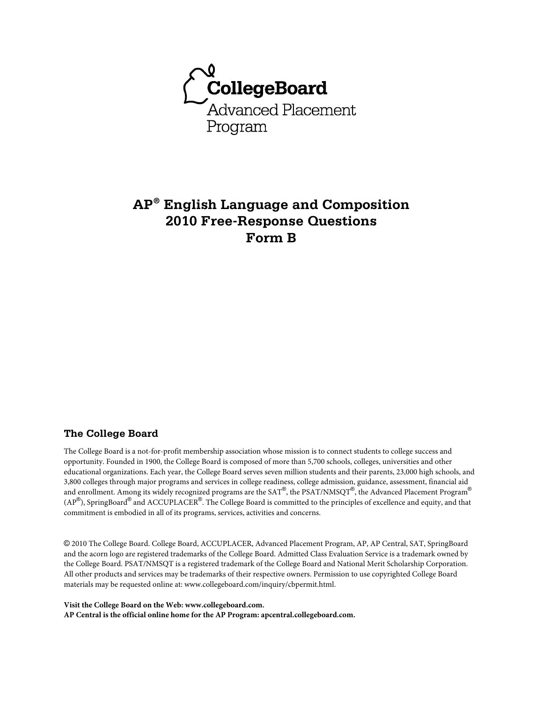

# **AP® English Language and Composition 2010 Free-Response Questions Form B**

### **The College Board**

The College Board is a not-for-profit membership association whose mission is to connect students to college success and opportunity. Founded in 1900, the College Board is composed of more than 5,700 schools, colleges, universities and other educational organizations. Each year, the College Board serves seven million students and their parents, 23,000 high schools, and 3,800 colleges through major programs and services in college readiness, college admission, guidance, assessment, financial aid and enrollment. Among its widely recognized programs are the SAT®, the PSAT/NMSQT®, the Advanced Placement Program® (AP®), SpringBoard® and ACCUPLACER®. The College Board is committed to the principles of excellence and equity, and that commitment is embodied in all of its programs, services, activities and concerns.

© 2010 The College Board. College Board, ACCUPLACER, Advanced Placement Program, AP, AP Central, SAT, SpringBoard and the acorn logo are registered trademarks of the College Board. Admitted Class Evaluation Service is a trademark owned by the College Board. PSAT/NMSQT is a registered trademark of the College Board and National Merit Scholarship Corporation. All other products and services may be trademarks of their respective owners. Permission to use copyrighted College Board materials may be requested online at: www.collegeboard.com/inquiry/cbpermit.html.

**Visit the College Board on the Web: www.collegeboard.com. AP Central is the official online home for the AP Program: apcentral.collegeboard.com.**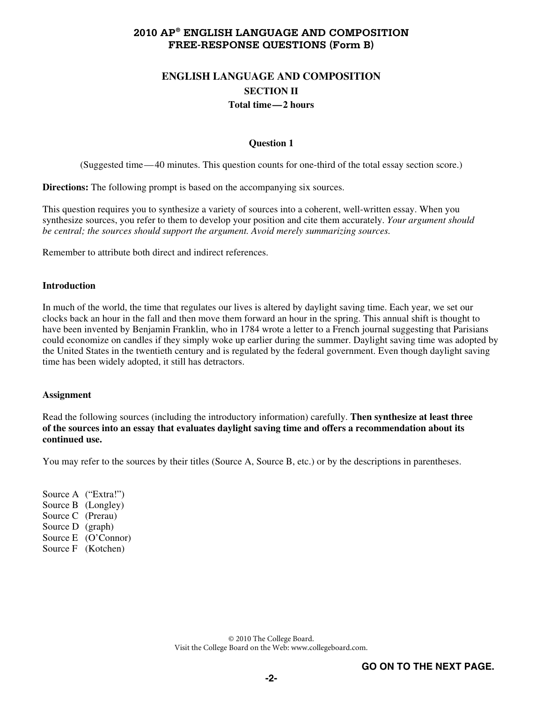# **ENGLISH LANGUAGE AND COMPOSITION SECTION II Total time—2 hours**

#### **Question 1**

(Suggested time—40 minutes. This question counts for one-third of the total essay section score.)

**Directions:** The following prompt is based on the accompanying six sources.

This question requires you to synthesize a variety of sources into a coherent, well-written essay. When you synthesize sources, you refer to them to develop your position and cite them accurately. *Your argument should be central; the sources should support the argument. Avoid merely summarizing sources.*

Remember to attribute both direct and indirect references.

#### **Introduction**

In much of the world, the time that regulates our lives is altered by daylight saving time. Each year, we set our clocks back an hour in the fall and then move them forward an hour in the spring. This annual shift is thought to have been invented by Benjamin Franklin, who in 1784 wrote a letter to a French journal suggesting that Parisians could economize on candles if they simply woke up earlier during the summer. Daylight saving time was adopted by the United States in the twentieth century and is regulated by the federal government. Even though daylight saving time has been widely adopted, it still has detractors.

### **Assignment**

Read the following sources (including the introductory information) carefully. **Then synthesize at least three of the sources into an essay that evaluates daylight saving time and offers a recommendation about its continued use.** 

You may refer to the sources by their titles (Source A, Source B, etc.) or by the descriptions in parentheses.

Source A ("Extra!") Source B (Longley) Source C (Prerau) Source D (graph) Source E (O'Connor) Source F (Kotchen)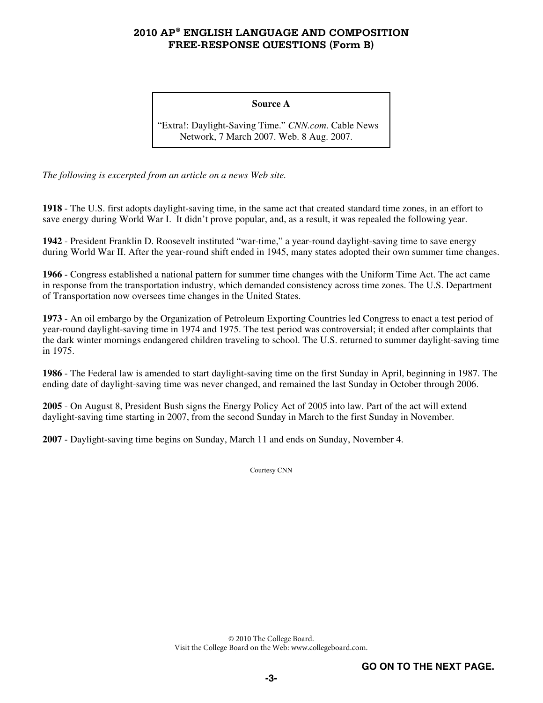#### **Source A**

"Extra!: Daylight-Saving Time." *CNN.com*. Cable News Network, 7 March 2007. Web. 8 Aug. 2007.

*The following is excerpted from an article on a news Web site.* 

**1918** - The U.S. first adopts daylight-saving time, in the same act that created standard time zones, in an effort to save energy during World War I. It didn't prove popular, and, as a result, it was repealed the following year.

**1942** - President Franklin D. Roosevelt instituted "war-time," a year-round daylight-saving time to save energy during World War II. After the year-round shift ended in 1945, many states adopted their own summer time changes.

**1966** - Congress established a national pattern for summer time changes with the Uniform Time Act. The act came in response from the transportation industry, which demanded consistency across time zones. The U.S. Department of Transportation now oversees time changes in the United States.

**1973** - An oil embargo by the Organization of Petroleum Exporting Countries led Congress to enact a test period of year-round daylight-saving time in 1974 and 1975. The test period was controversial; it ended after complaints that the dark winter mornings endangered children traveling to school. The U.S. returned to summer daylight-saving time in 1975.

**1986** - The Federal law is amended to start daylight-saving time on the first Sunday in April, beginning in 1987. The ending date of daylight-saving time was never changed, and remained the last Sunday in October through 2006.

**2005** - On August 8, President Bush signs the Energy Policy Act of 2005 into law. Part of the act will extend daylight-saving time starting in 2007, from the second Sunday in March to the first Sunday in November.

**2007** - Daylight-saving time begins on Sunday, March 11 and ends on Sunday, November 4.

Courtesy CNN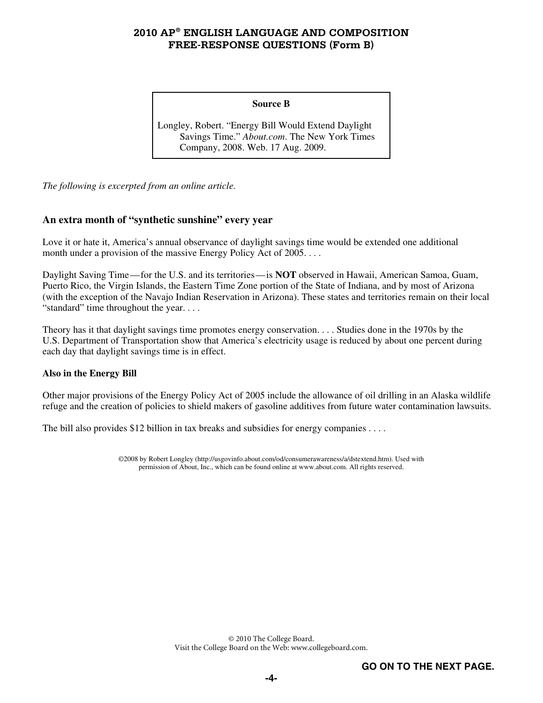#### **Source B**

Longley, Robert. "Energy Bill Would Extend Daylight Savings Time." *About.com*. The New York Times Company, 2008. Web. 17 Aug. 2009.

*The following is excerpted from an online article.* 

### **An extra month of "synthetic sunshine" every year**

Love it or hate it, America's annual observance of daylight savings time would be extended one additional month under a provision of the massive Energy Policy Act of 2005...

Daylight Saving Time—for the U.S. and its territories—is **NOT** observed in Hawaii, American Samoa, Guam, Puerto Rico, the Virgin Islands, the Eastern Time Zone portion of the State of Indiana, and by most of Arizona (with the exception of the Navajo Indian Reservation in Arizona). These states and territories remain on their local "standard" time throughout the year. . . .

Theory has it that daylight savings time promotes energy conservation. . . . Studies done in the 1970s by the U.S. Department of Transportation show that America's electricity usage is reduced by about one percent during each day that daylight savings time is in effect.

### **Also in the Energy Bill**

Other major provisions of the Energy Policy Act of 2005 include the allowance of oil drilling in an Alaska wildlife refuge and the creation of policies to shield makers of gasoline additives from future water contamination lawsuits.

The bill also provides \$12 billion in tax breaks and subsidies for energy companies . . . .

©2008 by Robert Longley (http://usgovinfo.about.com/od/consumerawareness/a/dstextend.htm). Used with permission of About, Inc., which can be found online at www.about.com. All rights reserved.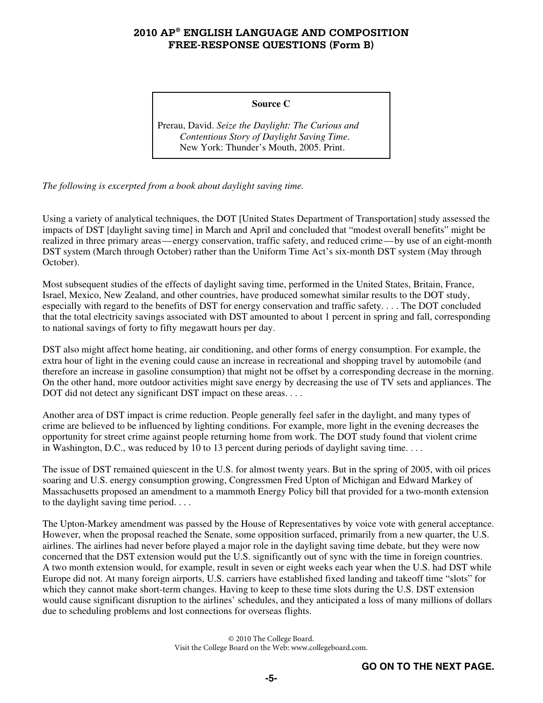#### **Source C**

Prerau, David. *Seize the Daylight: The Curious and Contentious Story of Daylight Saving Time*. New York: Thunder's Mouth, 2005. Print.

*The following is excerpted from a book about daylight saving time.* 

Using a variety of analytical techniques, the DOT [United States Department of Transportation] study assessed the impacts of DST [daylight saving time] in March and April and concluded that "modest overall benefits" might be realized in three primary areas—energy conservation, traffic safety, and reduced crime—by use of an eight-month DST system (March through October) rather than the Uniform Time Act's six-month DST system (May through October).

Most subsequent studies of the effects of daylight saving time, performed in the United States, Britain, France, Israel, Mexico, New Zealand, and other countries, have produced somewhat similar results to the DOT study, especially with regard to the benefits of DST for energy conservation and traffic safety. . . . The DOT concluded that the total electricity savings associated with DST amounted to about 1 percent in spring and fall, corresponding to national savings of forty to fifty megawatt hours per day.

DST also might affect home heating, air conditioning, and other forms of energy consumption. For example, the extra hour of light in the evening could cause an increase in recreational and shopping travel by automobile (and therefore an increase in gasoline consumption) that might not be offset by a corresponding decrease in the morning. On the other hand, more outdoor activities might save energy by decreasing the use of TV sets and appliances. The DOT did not detect any significant DST impact on these areas. . . .

Another area of DST impact is crime reduction. People generally feel safer in the daylight, and many types of crime are believed to be influenced by lighting conditions. For example, more light in the evening decreases the opportunity for street crime against people returning home from work. The DOT study found that violent crime in Washington, D.C., was reduced by 10 to 13 percent during periods of daylight saving time. . . .

The issue of DST remained quiescent in the U.S. for almost twenty years. But in the spring of 2005, with oil prices soaring and U.S. energy consumption growing, Congressmen Fred Upton of Michigan and Edward Markey of Massachusetts proposed an amendment to a mammoth Energy Policy bill that provided for a two-month extension to the daylight saving time period. . . .

The Upton-Markey amendment was passed by the House of Representatives by voice vote with general acceptance. However, when the proposal reached the Senate, some opposition surfaced, primarily from a new quarter, the U.S. airlines. The airlines had never before played a major role in the daylight saving time debate, but they were now concerned that the DST extension would put the U.S. significantly out of sync with the time in foreign countries. A two month extension would, for example, result in seven or eight weeks each year when the U.S. had DST while Europe did not. At many foreign airports, U.S. carriers have established fixed landing and takeoff time "slots" for which they cannot make short-term changes. Having to keep to these time slots during the U.S. DST extension would cause significant disruption to the airlines' schedules, and they anticipated a loss of many millions of dollars due to scheduling problems and lost connections for overseas flights.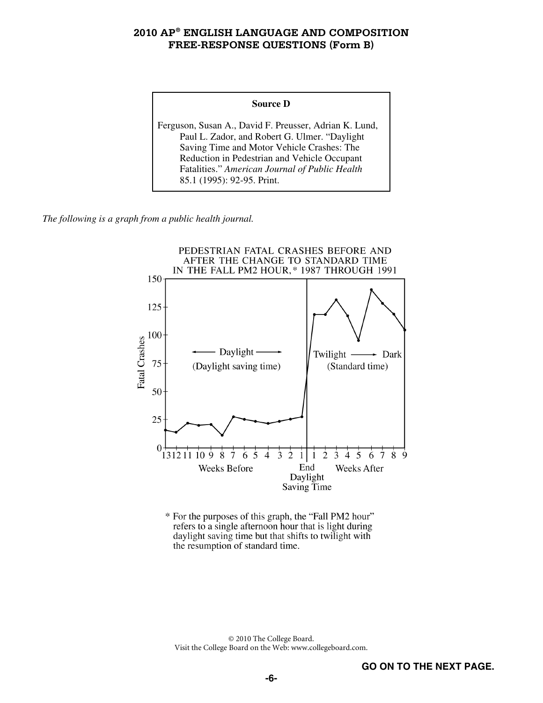#### **Source D**

Ferguson, Susan A., David F. Preusser, Adrian K. Lund, Paul L. Zador, and Robert G. Ulmer. "Daylight Saving Time and Motor Vehicle Crashes: The Reduction in Pedestrian and Vehicle Occupant Fatalities." *American Journal of Public Health* 85.1 (1995): 92-95. Print.

*The following is a graph from a public health journal.* 



\* For the purposes of this graph, the "Fall PM2 hour" refers to a single afternoon hour that is light during daylight saving time but that shifts to twilight with the resumption of standard time.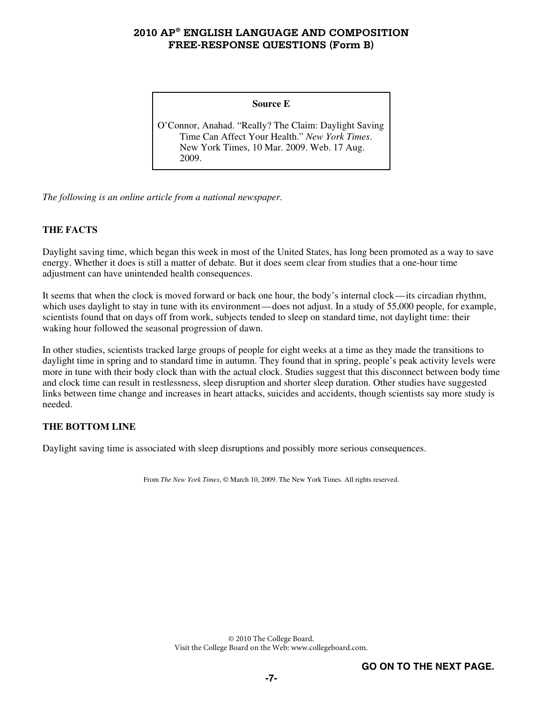#### **Source E**

O'Connor, Anahad. "Really? The Claim: Daylight Saving Time Can Affect Your Health." *New York Times*. New York Times, 10 Mar. 2009. Web. 17 Aug. 2009.

*The following is an online article from a national newspaper.* 

### **THE FACTS**

Daylight saving time, which began this week in most of the United States, has long been promoted as a way to save energy. Whether it does is still a matter of debate. But it does seem clear from studies that a one-hour time adjustment can have unintended health consequences.

It seems that when the clock is moved forward or back one hour, the body's internal clock—its circadian rhythm, which uses daylight to stay in tune with its environment—does not adjust. In a study of 55,000 people, for example, scientists found that on days off from work, subjects tended to sleep on standard time, not daylight time: their waking hour followed the seasonal progression of dawn.

In other studies, scientists tracked large groups of people for eight weeks at a time as they made the transitions to daylight time in spring and to standard time in autumn. They found that in spring, people's peak activity levels were more in tune with their body clock than with the actual clock. Studies suggest that this disconnect between body time and clock time can result in restlessness, sleep disruption and shorter sleep duration. Other studies have suggested links between time change and increases in heart attacks, suicides and accidents, though scientists say more study is needed.

### **THE BOTTOM LINE**

Daylight saving time is associated with sleep disruptions and possibly more serious consequences.

From *The New York Times*, © March 10, 2009. The New York Times. All rights reserved.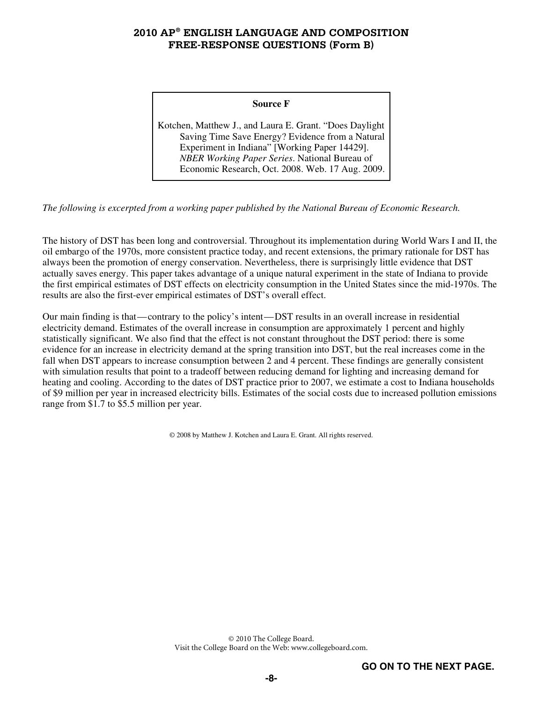#### **Source F**

Kotchen, Matthew J., and Laura E. Grant. "Does Daylight Saving Time Save Energy? Evidence from a Natural Experiment in Indiana" [Working Paper 14429]. *NBER Working Paper Series*. National Bureau of Economic Research, Oct. 2008. Web. 17 Aug. 2009.

*The following is excerpted from a working paper published by the National Bureau of Economic Research.* 

The history of DST has been long and controversial. Throughout its implementation during World Wars I and II, the oil embargo of the 1970s, more consistent practice today, and recent extensions, the primary rationale for DST has always been the promotion of energy conservation. Nevertheless, there is surprisingly little evidence that DST actually saves energy. This paper takes advantage of a unique natural experiment in the state of Indiana to provide the first empirical estimates of DST effects on electricity consumption in the United States since the mid-1970s. The results are also the first-ever empirical estimates of DST's overall effect.

Our main finding is that—contrary to the policy's intent—DST results in an overall increase in residential electricity demand. Estimates of the overall increase in consumption are approximately 1 percent and highly statistically significant. We also find that the effect is not constant throughout the DST period: there is some evidence for an increase in electricity demand at the spring transition into DST, but the real increases come in the fall when DST appears to increase consumption between 2 and 4 percent. These findings are generally consistent with simulation results that point to a tradeoff between reducing demand for lighting and increasing demand for heating and cooling. According to the dates of DST practice prior to 2007, we estimate a cost to Indiana households of \$9 million per year in increased electricity bills. Estimates of the social costs due to increased pollution emissions range from \$1.7 to \$5.5 million per year.

© 2008 by Matthew J. Kotchen and Laura E. Grant. All rights reserved.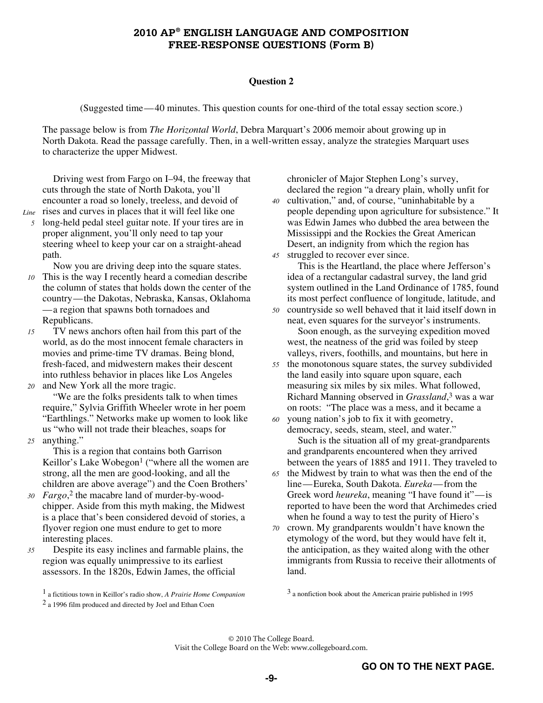#### **Question 2**

(Suggested time—40 minutes. This question counts for one-third of the total essay section score.)

The passage below is from *The Horizontal World*, Debra Marquart's 2006 memoir about growing up in North Dakota. Read the passage carefully. Then, in a well-written essay, analyze the strategies Marquart uses to characterize the upper Midwest.

Driving west from Fargo on I–94, the freeway that cuts through the state of North Dakota, you'll encounter a road so lonely, treeless, and devoid of Line rises and curves in places that it will feel like one

- - *5* long-held pedal steel guitar note. If your tires are in proper alignment, you'll only need to tap your steering wheel to keep your car on a straight-ahead path.

Now you are driving deep into the square states.

- *10* This is the way I recently heard a comedian describe the column of states that holds down the center of the country—the Dakotas, Nebraska, Kansas, Oklahoma —a region that spawns both tornadoes and Republicans.
- *15* TV news anchors often hail from this part of the world, as do the most innocent female characters in movies and prime-time TV dramas. Being blond, fresh-faced, and midwestern makes their descent into ruthless behavior in places like Los Angeles *20* and New York all the more tragic.
- "We are the folks presidents talk to when times require," Sylvia Griffith Wheeler wrote in her poem "Earthlings." Networks make up women to look like us "who will not trade their bleaches, soaps for *25* anything."
	- This is a region that contains both Garrison Keillor's Lake Wobegon<sup>1</sup> ("where all the women are strong, all the men are good-looking, and all the children are above average") and the Coen Brothers'
- 30 *Fargo*,<sup>2</sup> the macabre land of murder-by-woodchipper. Aside from this myth making, the Midwest is a place that's been considered devoid of stories, a flyover region one must endure to get to more interesting places.
- *35* Despite its easy inclines and farmable plains, the region was equally unimpressive to its earliest assessors. In the 1820s, Edwin James, the official
	- 1 a fictitious town in Keillor's radio show, *A Prairie Home Companion* 2 a 1996 film produced and directed by Joel and Ethan Coen

chronicler of Major Stephen Long's survey, declared the region "a dreary plain, wholly unfit for

- *40* cultivation," and, of course, "uninhabitable by a people depending upon agriculture for subsistence." It was Edwin James who dubbed the area between the Mississippi and the Rockies the Great American Desert, an indignity from which the region has
- *45* struggled to recover ever since.

This is the Heartland, the place where Jefferson's idea of a rectangular cadastral survey, the land grid system outlined in the Land Ordinance of 1785, found its most perfect confluence of longitude, latitude, and *50* countryside so well behaved that it laid itself down in

neat, even squares for the surveyor's instruments. Soon enough, as the surveying expedition moved west, the neatness of the grid was foiled by steep valleys, rivers, foothills, and mountains, but here in

- *55* the monotonous square states, the survey subdivided the land easily into square upon square, each measuring six miles by six miles. What followed, Richard Manning observed in *Grassland*, 3 was a war on roots: "The place was a mess, and it became a
- *60* young nation's job to fix it with geometry, democracy, seeds, steam, steel, and water." Such is the situation all of my great-grandparents

and grandparents encountered when they arrived between the years of 1885 and 1911. They traveled to

- *65* the Midwest by train to what was then the end of the line—Eureka, South Dakota. *Eureka*—from the Greek word *heureka*, meaning "I have found it"—is reported to have been the word that Archimedes cried when he found a way to test the purity of Hiero's
- *70* crown. My grandparents wouldn't have known the etymology of the word, but they would have felt it, the anticipation, as they waited along with the other immigrants from Russia to receive their allotments of land.

3 a nonfiction book about the American prairie published in 1995